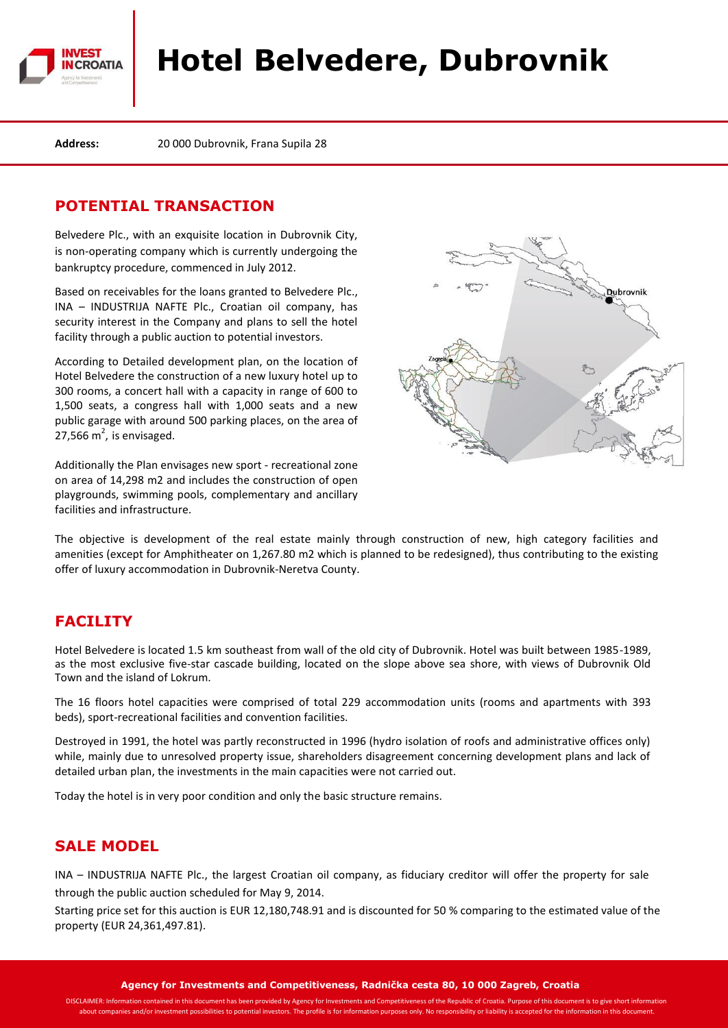

# **Hotel Belvedere, Dubrovnik**

**Address:** 20 000 Dubrovnik, Frana Supila 28

## **POTENTIAL TRANSACTION**

Belvedere Plc., with an exquisite location in Dubrovnik City, is non-operating company which is currently undergoing the bankruptcy procedure, commenced in July 2012.

Based on receivables for the loans granted to Belvedere Plc., INA – INDUSTRIJA NAFTE Plc., Croatian oil company, has security interest in the Company and plans to sell the hotel facility through a public auction to potential investors.

According to Detailed development plan, on the location of Hotel Belvedere the construction of a new luxury hotel up to 300 rooms, a concert hall with a capacity in range of 600 to 1,500 seats, a congress hall with 1,000 seats and a new public garage with around 500 parking places, on the area of  $27,566 \text{ m}^2$ , is envisaged.

Additionally the Plan envisages new sport - recreational zone on area of 14,298 m2 and includes the construction of open playgrounds, swimming pools, complementary and ancillary facilities and infrastructure.



The objective is development of the real estate mainly through construction of new, high category facilities and amenities (except for Amphitheater on 1,267.80 m2 which is planned to be redesigned), thus contributing to the existing offer of luxury accommodation in Dubrovnik-Neretva County.

## **FACILITY**

Hotel Belvedere is located 1.5 km southeast from wall of the old city of Dubrovnik. Hotel was built between 1985-1989, as the most exclusive five-star cascade building, located on the slope above sea shore, with views of Dubrovnik Old Town and the island of Lokrum.

The 16 floors hotel capacities were comprised of total 229 accommodation units (rooms and apartments with 393 beds), sport-recreational facilities and convention facilities.

Destroyed in 1991, the hotel was partly reconstructed in 1996 (hydro isolation of roofs and administrative offices only) while, mainly due to unresolved property issue, shareholders disagreement concerning development plans and lack of detailed urban plan, the investments in the main capacities were not carried out.

Today the hotel is in very poor condition and only the basic structure remains.

## **SALE MODEL**

INA – INDUSTRIJA NAFTE Plc., the largest Croatian oil company, as fiduciary creditor will offer the property for sale through the public auction scheduled for May 9, 2014.

Starting price set for this auction is EUR 12,180,748.91 and is discounted for 50 % comparing to the estimated value of the property (EUR 24,361,497.81).

**Agency for Investments and Competitiveness, Radnička cesta 80, 10 000 Zagreb, Croatia**

nation contained in this document has been provided by Agency for Investments and Competitiveness of the Republic of Croatia. Purpose of this document is to give short inf about companies and/or investment possibilities to potential investors. The profile is for information purposes only. No responsibility or liability is accepted for the information in this document.